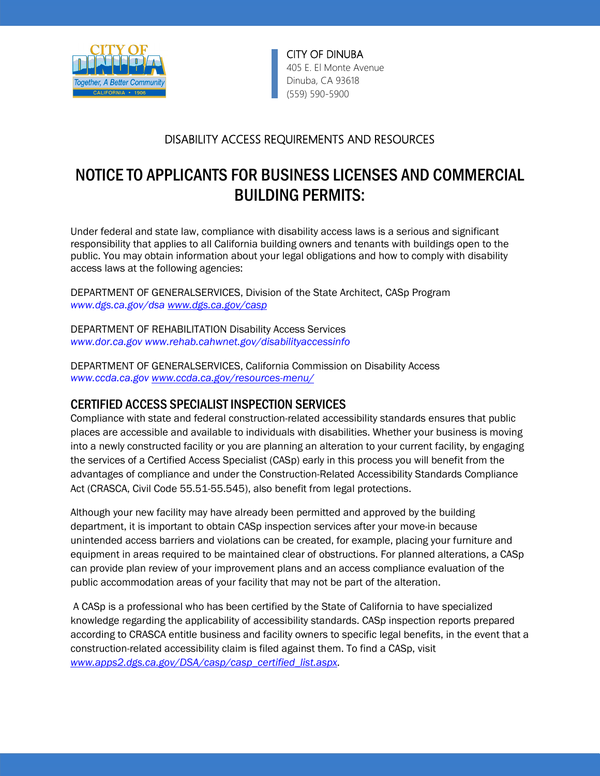

CITY OF DINUBA 405 E. El Monte Avenue Dinuba, CA 93618 (559) 590 -5900

## DISABILITY ACCESS REQUIREMENTS AND RESOURCES

# NOTICE TO APPLICANTS FOR BUSINESS LICENSES AND COMMERCIAL BUILDING PERMITS:

Under federal and state law, compliance with disability access laws is a serious and significant responsibility that applies to all California building owners and tenants with buildings open to the public. You may obtain information about your legal obligations and how to comply with disability access laws at the following agencies:

DEPARTMENT OF GENERALSERVICES, Division of the State Architect, CASp Program *www.dgs.ca.gov/dsa [www.dgs.ca.gov/casp](http://www.dgs.ca.gov/casp)*

DEPARTMENT OF REHABILITATION Disability Access Services *www.dor.ca.gov www.rehab.cahwnet.gov/disabilityaccessinfo* 

DEPARTMENT OF GENERALSERVICES, California Commission on Disability Access *www.ccda.ca.go[v www.ccda.ca.gov/resources-menu/](http://www.ccda.ca.gov/resources-menu/)*

## CERTIFIED ACCESS SPECIALIST INSPECTION SERVICES

Compliance with state and federal construction-related accessibility standards ensures that public places are accessible and available to individuals with disabilities. Whether your business is moving into a newly constructed facility or you are planning an alteration to your current facility, by engaging the services of a Certified Access Specialist (CASp) early in this process you will benefit from the advantages of compliance and under the Construction-Related Accessibility Standards Compliance Act (CRASCA, Civil Code 55.51-55.545), also benefit from legal protections.

Although your new facility may have already been permitted and approved by the building department, it is important to obtain CASp inspection services after your move-in because unintended access barriers and violations can be created, for example, placing your furniture and equipment in areas required to be maintained clear of obstructions. For planned alterations, a CASp can provide plan review of your improvement plans and an access compliance evaluation of the public accommodation areas of your facility that may not be part of the alteration.

A CASp is a professional who has been certified by the State of California to have specialized knowledge regarding the applicability of accessibility standards. CASp inspection reports prepared according to CRASCA entitle business and facility owners to specific legal benefits, in the event that a construction-related accessibility claim is filed against them. To find a CASp, visit *[www.apps2.dgs.ca.gov/DSA/casp/casp\\_certified\\_list.aspx.](http://www.apps2.dgs.ca.gov/DSA/casp/casp_certified_list.aspx)*